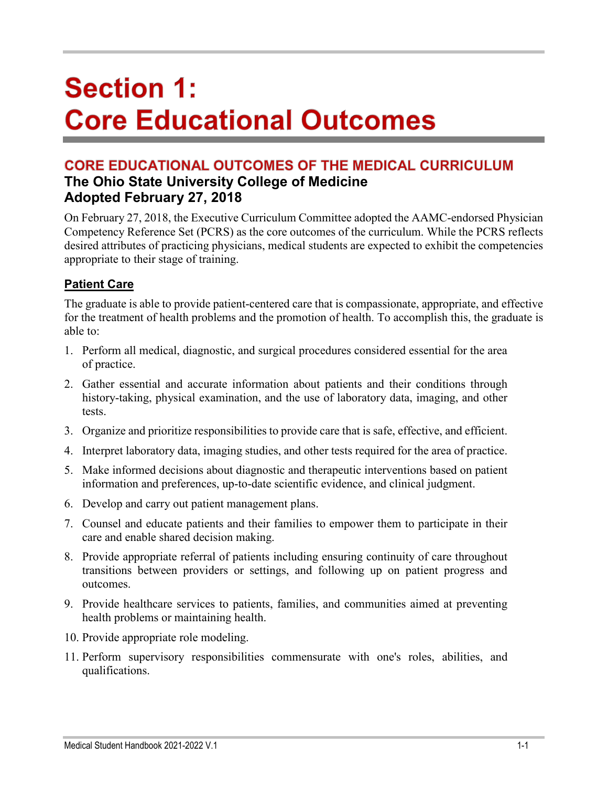# **Section 1: Core Educational Outcomes**

## **CORE EDUCATIONAL OUTCOMES OF THE MEDICAL CURRICULUM The Ohio State University College of Medicine Adopted February 27, 2018**

On February 27, 2018, the Executive Curriculum Committee adopted the AAMC-endorsed Physician Competency Reference Set (PCRS) as the core outcomes of the curriculum. While the PCRS reflects desired attributes of practicing physicians, medical students are expected to exhibit the competencies appropriate to their stage of training.

## **Patient Care**

The graduate is able to provide patient-centered care that is compassionate, appropriate, and effective for the treatment of health problems and the promotion of health. To accomplish this, the graduate is able to:

- 1. Perform all medical, diagnostic, and surgical procedures considered essential for the area of practice.
- 2. Gather essential and accurate information about patients and their conditions through history-taking, physical examination, and the use of laboratory data, imaging, and other tests.
- 3. Organize and prioritize responsibilities to provide care that is safe, effective, and efficient.
- 4. Interpret laboratory data, imaging studies, and other tests required for the area of practice.
- 5. Make informed decisions about diagnostic and therapeutic interventions based on patient information and preferences, up-to-date scientific evidence, and clinical judgment.
- 6. Develop and carry out patient management plans.
- 7. Counsel and educate patients and their families to empower them to participate in their care and enable shared decision making.
- 8. Provide appropriate referral of patients including ensuring continuity of care throughout transitions between providers or settings, and following up on patient progress and outcomes.
- 9. Provide healthcare services to patients, families, and communities aimed at preventing health problems or maintaining health.
- 10. Provide appropriate role modeling.
- 11. Perform supervisory responsibilities commensurate with one's roles, abilities, and qualifications.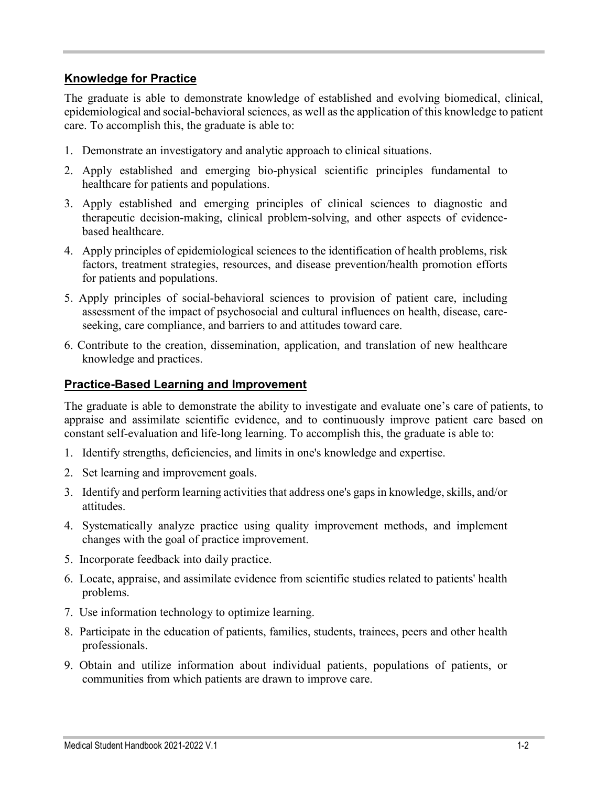#### **Knowledge for Practice**

The graduate is able to demonstrate knowledge of established and evolving biomedical, clinical, epidemiological and social-behavioral sciences, as well as the application of this knowledge to patient care. To accomplish this, the graduate is able to:

- 1. Demonstrate an investigatory and analytic approach to clinical situations.
- 2. Apply established and emerging bio-physical scientific principles fundamental to healthcare for patients and populations.
- 3. Apply established and emerging principles of clinical sciences to diagnostic and therapeutic decision-making, clinical problem-solving, and other aspects of evidencebased healthcare.
- 4. Apply principles of epidemiological sciences to the identification of health problems, risk factors, treatment strategies, resources, and disease prevention/health promotion efforts for patients and populations.
- 5. Apply principles of social-behavioral sciences to provision of patient care, including assessment of the impact of psychosocial and cultural influences on health, disease, careseeking, care compliance, and barriers to and attitudes toward care.
- 6. Contribute to the creation, dissemination, application, and translation of new healthcare knowledge and practices.

#### **Practice-Based Learning and Improvement**

The graduate is able to demonstrate the ability to investigate and evaluate one's care of patients, to appraise and assimilate scientific evidence, and to continuously improve patient care based on constant self-evaluation and life-long learning. To accomplish this, the graduate is able to:

- 1. Identify strengths, deficiencies, and limits in one's knowledge and expertise.
- 2. Set learning and improvement goals.
- 3. Identify and perform learning activities that address one's gaps in knowledge, skills, and/or attitudes.
- 4. Systematically analyze practice using quality improvement methods, and implement changes with the goal of practice improvement.
- 5. Incorporate feedback into daily practice.
- 6. Locate, appraise, and assimilate evidence from scientific studies related to patients' health problems.
- 7. Use information technology to optimize learning.
- 8. Participate in the education of patients, families, students, trainees, peers and other health professionals.
- 9. Obtain and utilize information about individual patients, populations of patients, or communities from which patients are drawn to improve care.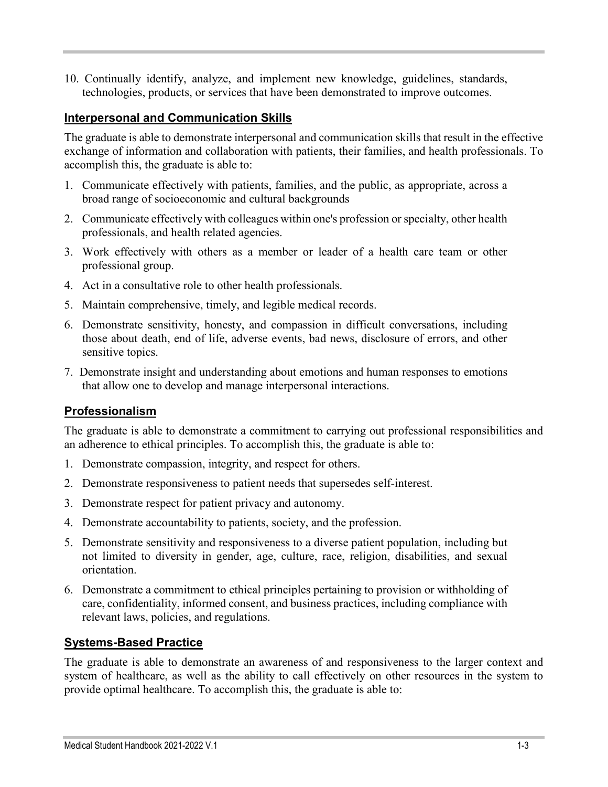10. Continually identify, analyze, and implement new knowledge, guidelines, standards, technologies, products, or services that have been demonstrated to improve outcomes.

#### **Interpersonal and Communication Skills**

The graduate is able to demonstrate interpersonal and communication skills that result in the effective exchange of information and collaboration with patients, their families, and health professionals. To accomplish this, the graduate is able to:

- 1. Communicate effectively with patients, families, and the public, as appropriate, across a broad range of socioeconomic and cultural backgrounds
- 2. Communicate effectively with colleagues within one's profession or specialty, other health professionals, and health related agencies.
- 3. Work effectively with others as a member or leader of a health care team or other professional group.
- 4. Act in a consultative role to other health professionals.
- 5. Maintain comprehensive, timely, and legible medical records.
- 6. Demonstrate sensitivity, honesty, and compassion in difficult conversations, including those about death, end of life, adverse events, bad news, disclosure of errors, and other sensitive topics.
- 7. Demonstrate insight and understanding about emotions and human responses to emotions that allow one to develop and manage interpersonal interactions.

### **Professionalism**

The graduate is able to demonstrate a commitment to carrying out professional responsibilities and an adherence to ethical principles. To accomplish this, the graduate is able to:

- 1. Demonstrate compassion, integrity, and respect for others.
- 2. Demonstrate responsiveness to patient needs that supersedes self-interest.
- 3. Demonstrate respect for patient privacy and autonomy.
- 4. Demonstrate accountability to patients, society, and the profession.
- 5. Demonstrate sensitivity and responsiveness to a diverse patient population, including but not limited to diversity in gender, age, culture, race, religion, disabilities, and sexual orientation.
- 6. Demonstrate a commitment to ethical principles pertaining to provision or withholding of care, confidentiality, informed consent, and business practices, including compliance with relevant laws, policies, and regulations.

### **Systems-Based Practice**

The graduate is able to demonstrate an awareness of and responsiveness to the larger context and system of healthcare, as well as the ability to call effectively on other resources in the system to provide optimal healthcare. To accomplish this, the graduate is able to: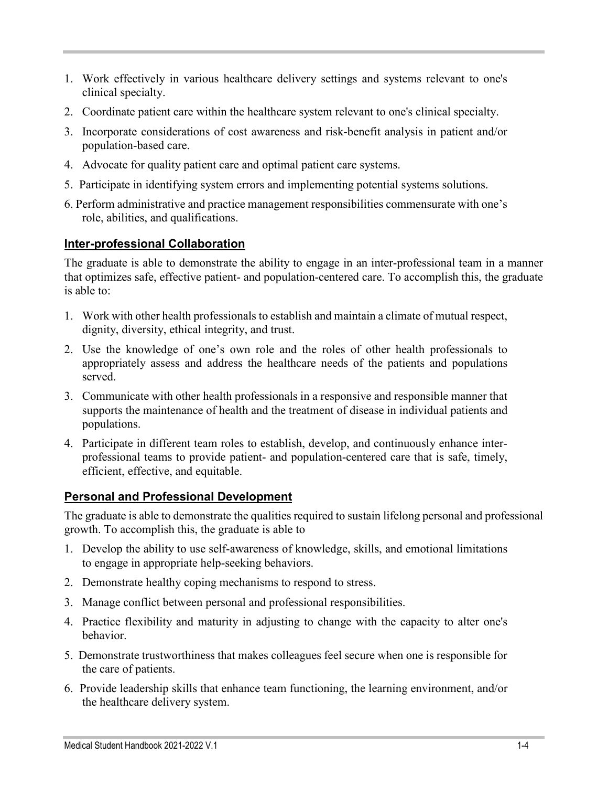- 1. Work effectively in various healthcare delivery settings and systems relevant to one's clinical specialty.
- 2. Coordinate patient care within the healthcare system relevant to one's clinical specialty.
- 3. Incorporate considerations of cost awareness and risk-benefit analysis in patient and/or population-based care.
- 4. Advocate for quality patient care and optimal patient care systems.
- 5. Participate in identifying system errors and implementing potential systems solutions.
- 6. Perform administrative and practice management responsibilities commensurate with one's role, abilities, and qualifications.

## **Inter-professional Collaboration**

The graduate is able to demonstrate the ability to engage in an inter-professional team in a manner that optimizes safe, effective patient- and population-centered care. To accomplish this, the graduate is able to:

- 1. Work with other health professionals to establish and maintain a climate of mutual respect, dignity, diversity, ethical integrity, and trust.
- 2. Use the knowledge of one's own role and the roles of other health professionals to appropriately assess and address the healthcare needs of the patients and populations served.
- 3. Communicate with other health professionals in a responsive and responsible manner that supports the maintenance of health and the treatment of disease in individual patients and populations.
- 4. Participate in different team roles to establish, develop, and continuously enhance interprofessional teams to provide patient- and population-centered care that is safe, timely, efficient, effective, and equitable.

## **Personal and Professional Development**

The graduate is able to demonstrate the qualities required to sustain lifelong personal and professional growth. To accomplish this, the graduate is able to

- 1. Develop the ability to use self-awareness of knowledge, skills, and emotional limitations to engage in appropriate help-seeking behaviors.
- 2. Demonstrate healthy coping mechanisms to respond to stress.
- 3. Manage conflict between personal and professional responsibilities.
- 4. Practice flexibility and maturity in adjusting to change with the capacity to alter one's behavior.
- 5. Demonstrate trustworthiness that makes colleagues feel secure when one is responsible for the care of patients.
- 6. Provide leadership skills that enhance team functioning, the learning environment, and/or the healthcare delivery system.